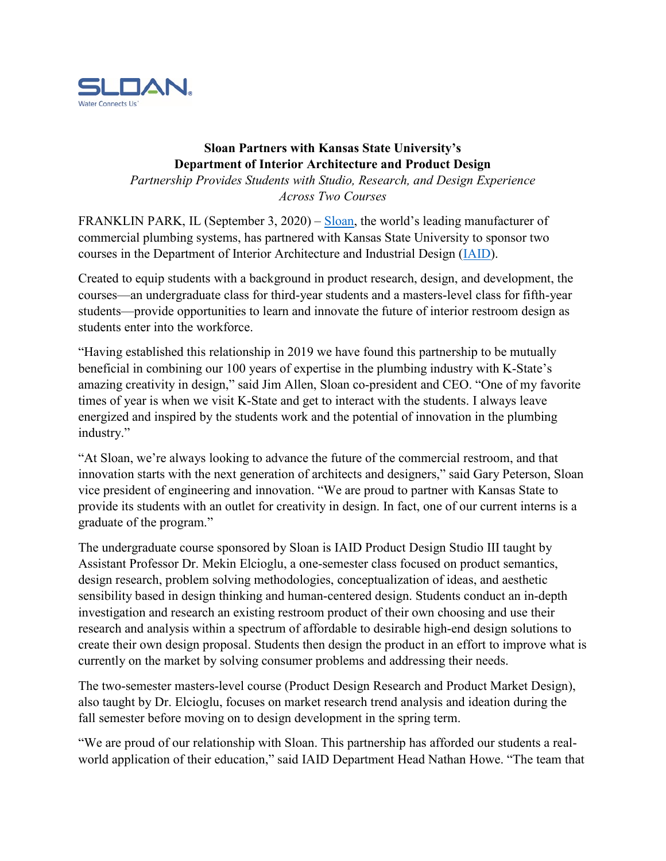

## **Sloan Partners with Kansas State University's Department of Interior Architecture and Product Design**

*Partnership Provides Students with Studio, Research, and Design Experience Across Two Courses*

FRANKLIN PARK, IL (September 3, 2020) – [Sloan,](https://www.sloan.com/) the world's leading manufacturer of commercial plumbing systems, has partnered with Kansas State University to sponsor two courses in the Department of Interior Architecture and Industrial Design [\(IAID\)](https://apdesign.k-state.edu/iaid/).

Created to equip students with a background in product research, design, and development, the courses—an undergraduate class for third-year students and a masters-level class for fifth-year students—provide opportunities to learn and innovate the future of interior restroom design as students enter into the workforce.

"Having established this relationship in 2019 we have found this partnership to be mutually beneficial in combining our 100 years of expertise in the plumbing industry with K-State's amazing creativity in design," said Jim Allen, Sloan co-president and CEO. "One of my favorite times of year is when we visit K-State and get to interact with the students. I always leave energized and inspired by the students work and the potential of innovation in the plumbing industry."

"At Sloan, we're always looking to advance the future of the commercial restroom, and that innovation starts with the next generation of architects and designers," said Gary Peterson, Sloan vice president of engineering and innovation. "We are proud to partner with Kansas State to provide its students with an outlet for creativity in design. In fact, one of our current interns is a graduate of the program."

The undergraduate course sponsored by Sloan is IAID Product Design Studio III taught by Assistant Professor Dr. Mekin Elcioglu, a one-semester class focused on product semantics, design research, problem solving methodologies, conceptualization of ideas, and aesthetic sensibility based in design thinking and human-centered design. Students conduct an in-depth investigation and research an existing restroom product of their own choosing and use their research and analysis within a spectrum of affordable to desirable high-end design solutions to create their own design proposal. Students then design the product in an effort to improve what is currently on the market by solving consumer problems and addressing their needs.

The two-semester masters-level course (Product Design Research and Product Market Design), also taught by Dr. Elcioglu, focuses on market research trend analysis and ideation during the fall semester before moving on to design development in the spring term.

"We are proud of our relationship with Sloan. This partnership has afforded our students a realworld application of their education," said IAID Department Head Nathan Howe. "The team that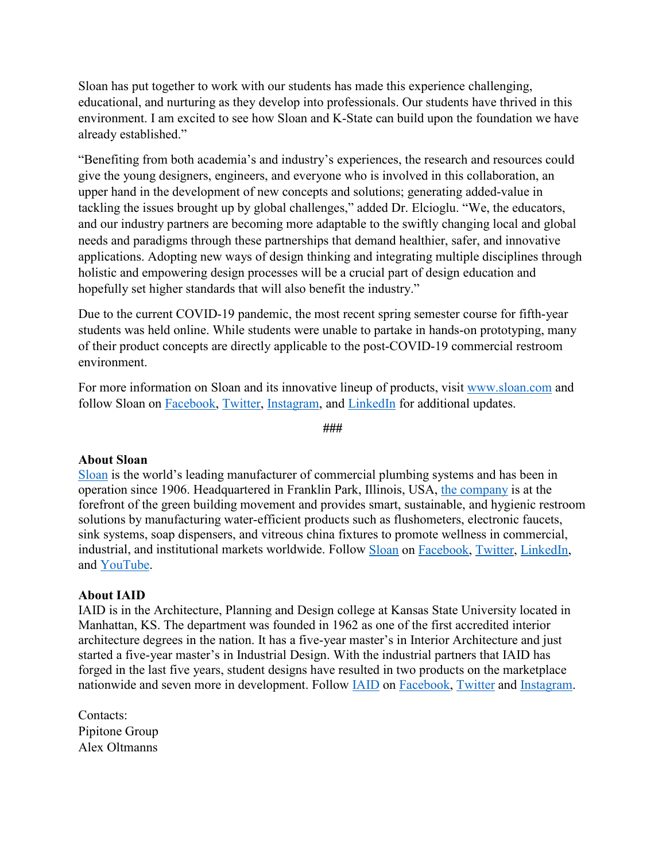Sloan has put together to work with our students has made this experience challenging, educational, and nurturing as they develop into professionals. Our students have thrived in this environment. I am excited to see how Sloan and K-State can build upon the foundation we have already established."

"Benefiting from both academia's and industry's experiences, the research and resources could give the young designers, engineers, and everyone who is involved in this collaboration, an upper hand in the development of new concepts and solutions; generating added-value in tackling the issues brought up by global challenges," added Dr. Elcioglu. "We, the educators, and our industry partners are becoming more adaptable to the swiftly changing local and global needs and paradigms through these partnerships that demand healthier, safer, and innovative applications. Adopting new ways of design thinking and integrating multiple disciplines through holistic and empowering design processes will be a crucial part of design education and hopefully set higher standards that will also benefit the industry."

Due to the current COVID-19 pandemic, the most recent spring semester course for fifth-year students was held online. While students were unable to partake in hands-on prototyping, many of their product concepts are directly applicable to the post-COVID-19 commercial restroom environment.

For more information on Sloan and its innovative lineup of products, visit [www.sloan.com](http://www.sloan.com/) and follow Sloan on [Facebook,](https://www.facebook.com/SloanValveCompany/) [Twitter,](https://twitter.com/Sloan_Valve?ref_src=twsrc%5Egoogle%7Ctwcamp%5Eserp%7Ctwgr%5Eauthor) [Instagram,](https://www.instagram.com/sloan_valve/) and [LinkedIn](https://www.linkedin.com/company/sloan-valve-company) for additional updates.

**###**

## **About Sloan**

[Sloan](https://www.sloan.com/) is the world's leading manufacturer of commercial plumbing systems and has been in operation since 1906. Headquartered in Franklin Park, Illinois, USA, [the company](https://www.sloan.com/company/about-us/history) is at the forefront of the green building movement and provides smart, sustainable, and hygienic restroom solutions by manufacturing water-efficient products such as flushometers, electronic faucets, sink systems, soap dispensers, and vitreous china fixtures to promote wellness in commercial, industrial, and institutional markets worldwide. Follow [Sloan](https://www.sloan.com/) on [Facebook,](https://www.facebook.com/SloanValveCompany/) [Twitter,](https://twitter.com/sloan_valve) [LinkedIn,](https://www.linkedin.com/company/sloan-valve-company/) and [YouTube.](https://www.youtube.com/user/SloanValveCompany)

## **About IAID**

IAID is in the Architecture, Planning and Design college at Kansas State University located in Manhattan, KS. The department was founded in 1962 as one of the first accredited interior architecture degrees in the nation. It has a five-year master's in Interior Architecture and just started a five-year master's in Industrial Design. With the industrial partners that IAID has forged in the last five years, student designs have resulted in two products on the marketplace nationwide and seven more in development. Follow [IAID](https://apdesign.k-state.edu/iaid/) on [Facebook,](https://www.facebook.com/kstateiaid) [Twitter](https://twitter.com/kstateiaid) and [Instagram.](https://www.instagram.com/kstateiaid/)

Contacts: Pipitone Group Alex Oltmanns